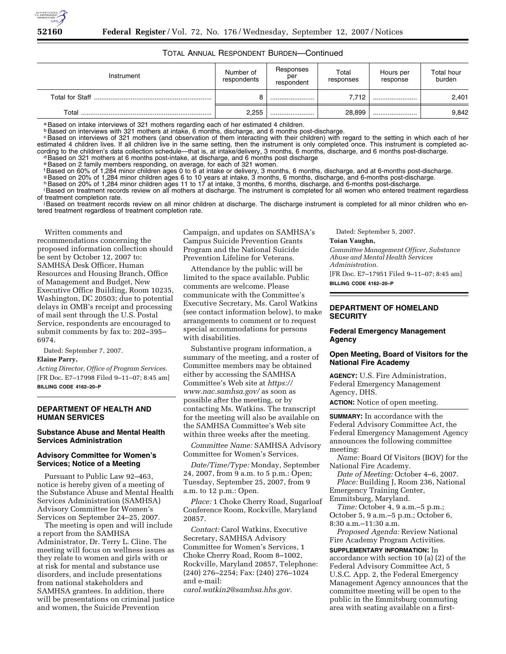# TOTAL ANNUAL RESPONDENT BURDEN—Continued

| Instrument             | Number of<br>respondents | Responses<br>per<br>respondent | Total<br>responses | Hours per<br>response | Total hour<br>burden |
|------------------------|--------------------------|--------------------------------|--------------------|-----------------------|----------------------|
| <b>Total for Staff</b> |                          |                                | 7.712              |                       | 2,401                |
| Total                  | 2,255                    |                                | 28.899             |                       | 9,842                |

a Based on intake interviews of 321 mothers regarding each of her estimated 4 children.

**Based on interviews with 321 mothers at intake, 6 months, discharge, and 6 months post-discharge.** 

<sup>c</sup>Based on interviews of 321 mothers (and observation of them interacting with their children) with regard to the setting in which each of her estimated 4 children lives. If all children live in the same setting, then the instrument is only completed once. This instrument is completed according to the children's data collection schedule—that is, at intake/delivery, 3 months, 6 months, discharge, and 6 months post-discharge.<br>dBased on 321 mothers at 6 months post-intake, at discharge, and 6 months post dis

e Based on 2 family members responding, on average, for each of 321 women.

<sup>f</sup>Based on 60% of 1,284 minor children ages 0 to 6 at intake or delivery, 3 months, 6 months, discharge, and at 6-months post-discharge.

g Based on 20% of 1,284 minor children ages 6 to 10 years at intake, 3 months, 6 months, discharge, and 6-months post-discharge.<br>h Based on 20% of 1,284 minor children ages 11 to 17 at intake, 3 months, 6 months, discharge

Based on treatment records review on all mothers at discharge. The instrument is completed for all women who entered treatment regardless of treatment completion rate.

Based on treatment records review on all minor children at discharge. The discharge instrument is completed for all minor children who entered treatment regardless of treatment completion rate.

Written comments and

recommendations concerning the proposed information collection should be sent by October 12, 2007 to: SAMHSA Desk Officer, Human Resources and Housing Branch, Office of Management and Budget, New Executive Office Building, Room 10235, Washington, DC 20503; due to potential delays in OMB's receipt and processing of mail sent through the U.S. Postal Service, respondents are encouraged to submit comments by fax to: 202–395– 6974.

Dated: September 7, 2007.

#### **Elaine Parry,**

*Acting Director, Office of Program Services.*  [FR Doc. E7–17998 Filed 9–11–07; 8:45 am] **BILLING CODE 4162–20–P** 

#### **DEPARTMENT OF HEALTH AND HUMAN SERVICES**

#### **Substance Abuse and Mental Health Services Administration**

#### **Advisory Committee for Women's Services; Notice of a Meeting**

Pursuant to Public Law 92–463, notice is hereby given of a meeting of the Substance Abuse and Mental Health Services Administration (SAMHSA) Advisory Committee for Women's Services on September 24–25, 2007.

The meeting is open and will include a report from the SAMHSA Administrator, Dr. Terry L. Cline. The meeting will focus on wellness issues as they relate to women and girls with or at risk for mental and substance use disorders, and include presentations from national stakeholders and SAMHSA grantees. In addition, there will be presentations on criminal justice and women, the Suicide Prevention

Campaign, and updates on SAMHSA's Campus Suicide Prevention Grants Program and the National Suicide Prevention Lifeline for Veterans.

Attendance by the public will be limited to the space available. Public comments are welcome. Please communicate with the Committee's Executive Secretary, Ms. Carol Watkins (see contact information below), to make arrangements to comment or to request special accommodations for persons with disabilities.

Substantive program information, a summary of the meeting, and a roster of Committee members may be obtained either by accessing the SAMHSA Committee's Web site at *https:// www.nac.samhsa.gov/* as soon as possible after the meeting, or by contacting Ms. Watkins. The transcript for the meeting will also be available on the SAMHSA Committee's Web site within three weeks after the meeting.

*Committee Name:* SAMHSA Advisory Committee for Women's Services.

*Date/Time/Type:* Monday, September 24, 2007, from 9 a.m. to 5 p.m.: Open; Tuesday, September 25, 2007, from 9 a.m. to 12 p.m.: Open.

*Place:* 1 Choke Cherry Road, Sugarloaf Conference Room, Rockville, Maryland 20857.

*Contact:* Carol Watkins, Executive Secretary, SAMHSA Advisory Committee for Women's Services, 1 Choke Cherry Road, Room 8–1002, Rockville, Maryland 20857, Telephone: (240) 276–2254; Fax: (240) 276–1024 and e-mail:

*carol.watkin2@samhsa.hhs.gov.* 

Dated: September 5, 2007.

#### **Toian Vaughn,**

*Committee Management Officer, Substance Abuse and Mental Health Services Administration.* 

[FR Doc. E7–17951 Filed 9–11–07; 8:45 am] **BILLING CODE 4162–20–P** 

## **DEPARTMENT OF HOMELAND SECURITY**

## **Federal Emergency Management Agency**

## **Open Meeting, Board of Visitors for the National Fire Academy**

**AGENCY:** U.S. Fire Administration, Federal Emergency Management Agency, DHS.

**ACTION:** Notice of open meeting.

**SUMMARY:** In accordance with the Federal Advisory Committee Act, the Federal Emergency Management Agency announces the following committee meeting:

*Name:* Board Of Visitors (BOV) for the National Fire Academy.

*Date of Meeting:* October 4–6, 2007. *Place:* Building J, Room 236, National Emergency Training Center,

Emmitsburg, Maryland.

*Time:* October 4, 9 a.m.–5 p.m.; October 5, 9 a.m.–5 p.m.; October 6, 8:30 a.m.–11:30 a.m.

*Proposed Agenda:* Review National Fire Academy Program Activities.

**SUPPLEMENTARY INFORMATION:** In accordance with section 10 (a) (2) of the Federal Advisory Committee Act, 5 U.S.C. App. 2, the Federal Emergency Management Agency announces that the committee meeting will be open to the public in the Emmitsburg commuting area with seating available on a first